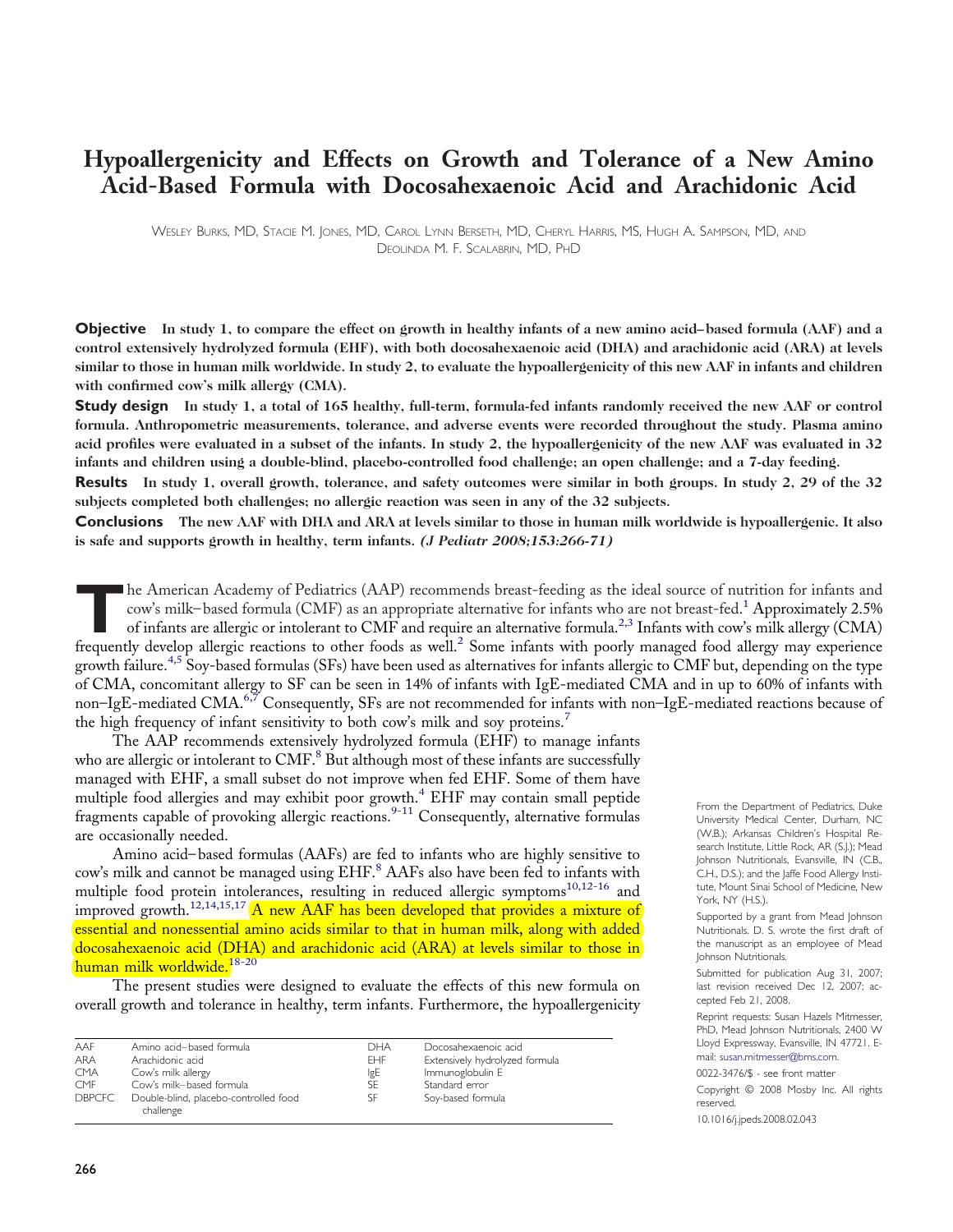# **Hypoallergenicity and Effects on Growth and Tolerance of a New Amino Acid-Based Formula with Docosahexaenoic Acid and Arachidonic Acid**

WESLEY BURKS, MD, STACIE M. JONES, MD, CAROL LYNN BERSETH, MD, CHERYL HARRIS, MS, HUGH A. SAMPSON, MD, AND DEOLINDA M. F. SCALABRIN, MD, PHD

**Objective** In study 1, to compare the effect on growth in healthy infants of a new amino acid-based formula (AAF) and a control extensively hydrolyzed formula (EHF), with both docosahexaenoic acid (DHA) and arachidonic acid (ARA) at levels similar to those in human milk worldwide. In study 2, to evaluate the hypoallergenicity of this new AAF in infants and children **with confirmed cow's milk allergy (CMA).**

**Study design** In study 1, a total of 165 healthy, full-term, formula-fed infants randomly received the new AAF or control **formula. Anthropometric measurements, tolerance, and adverse events were recorded throughout the study. Plasma amino** acid profiles were evaluated in a subset of the infants. In study 2, the hypoallergenicity of the new AAF was evaluated in 32 infants and children using a double-blind, placebo-controlled food challenge; an open challenge; and a 7-day feeding.

**Results** In study 1, overall growth, tolerance, and safety outcomes were similar in both groups. In study 2, 29 of the 32 **subjects completed both challenges; no allergic reaction was seen in any of the 32 subjects.**

**Conclusions** The new AAF with DHA and ARA at levels similar to those in human milk worldwide is hypoallergenic. It also **is safe and supports growth in healthy, term infants. (J Pediatr 2008;153:266-71)**

The American Academy of Pediatrics (AAP) recommends breast-feeding as the ideal source of nutrition for infants and<br>cow's milk–based formula (CMF) as an appropriate alternative for infants who are not breast-fed.<sup>1</sup> Approx cow's milk–based formula (CMF) as an appropriate alternative for infants who are not breast-fed. <sup>1</sup> Approximately 2.5% frequently develop allergic reactions to other foods as well.<sup>2</sup> Some infants with poorly managed food allergy may experience growth failure.<sup>4,5</sup> Soy-based formulas (SFs) have been used as alternatives for infants allergic to CMF but, depending on the type of CMA, concomitant allergy to SF can be seen in 14% of infants with IgE-mediated CMA and in up to 60% of infants with non–IgE-mediated CMA.<sup>6,7</sup> Consequently, SFs are not recommended for infants with non–IgE-mediated reactions because of the high frequency of infant sensitivity to both cow's milk and soy proteins.<sup>7</sup>

The AAP recommends extensively hydrolyzed formula (EHF) to manage infants who are allergic or intolerant to  $CMF$ .<sup>8</sup> But although most of these infants are successfully managed with EHF, a small subset do not improve when fed EHF. Some of them have multiple food allergies and may exhibit poor growth.<sup>4</sup> EHF may contain small peptide fragments capable of provoking allergic reactions.<sup>9-11</sup> Consequently, alternative formulas are occasionally needed.

Amino acid–based formulas (AAFs) are fed to infants who are highly sensitive to cow's milk and cannot be managed using EHF.<sup>8</sup> AAFs also have been fed to infants with multiple food protein intolerances, resulting in reduced allergic symptoms<sup>10,12-16</sup> and improved growth.<sup>12,14,15,17</sup> A new AAF has been developed that provides a mixture of essential and nonessential amino acids similar to that in human milk, along with added docosahexaenoic acid (DHA) and arachidonic acid (ARA) at levels similar to those in human milk worldwide.18-20

The present studies were designed to evaluate the effects of this new formula on overall growth and tolerance in healthy, term infants. Furthermore, the hypoallergenicity

| AAF           | Amino acid-based formula                           | <b>DHA</b> | Docosahexaenoic acid           |
|---------------|----------------------------------------------------|------------|--------------------------------|
| <b>ARA</b>    | Arachidonic acid                                   | FHF.       | Extensively hydrolyzed formula |
| <b>CMA</b>    | Cow's milk allergy                                 | IgE        | Immunoglobulin E               |
| <b>CMF</b>    | Cow's milk-based formula                           | SE         | Standard error                 |
| <b>DBPCFC</b> | Double-blind, placebo-controlled food<br>challenge | SF         | Soy-based formula              |

From the Department of Pediatrics, Duke University Medical Center, Durham, NC (W.B.); Arkansas Children's Hospital Research Institute, Little Rock, AR (S.J.); Mead Johnson Nutritionals, Evansville, IN (C.B., C.H., D.S.); and the Jaffe Food Allergy Institute, Mount Sinai School of Medicine, New York, NY (H.S.).

Supported by a grant from Mead Johnson Nutritionals. D. S. wrote the first draft of the manuscript as an employee of Mead Johnson Nutritionals.

Submitted for publication Aug 31, 2007; last revision received Dec 12, 2007; accepted Feb 21, 2008.

Reprint requests: Susan Hazels Mitmesser, PhD, Mead Johnson Nutritionals, 2400 W Lloyd Expressway, Evansville, IN 47721. Email: susan.mitmesser@bms.com.

0022-3476/\$ - see front matter

Copyright © 2008 Mosby Inc. All rights reserved.

10.1016/j.jpeds.2008.02.043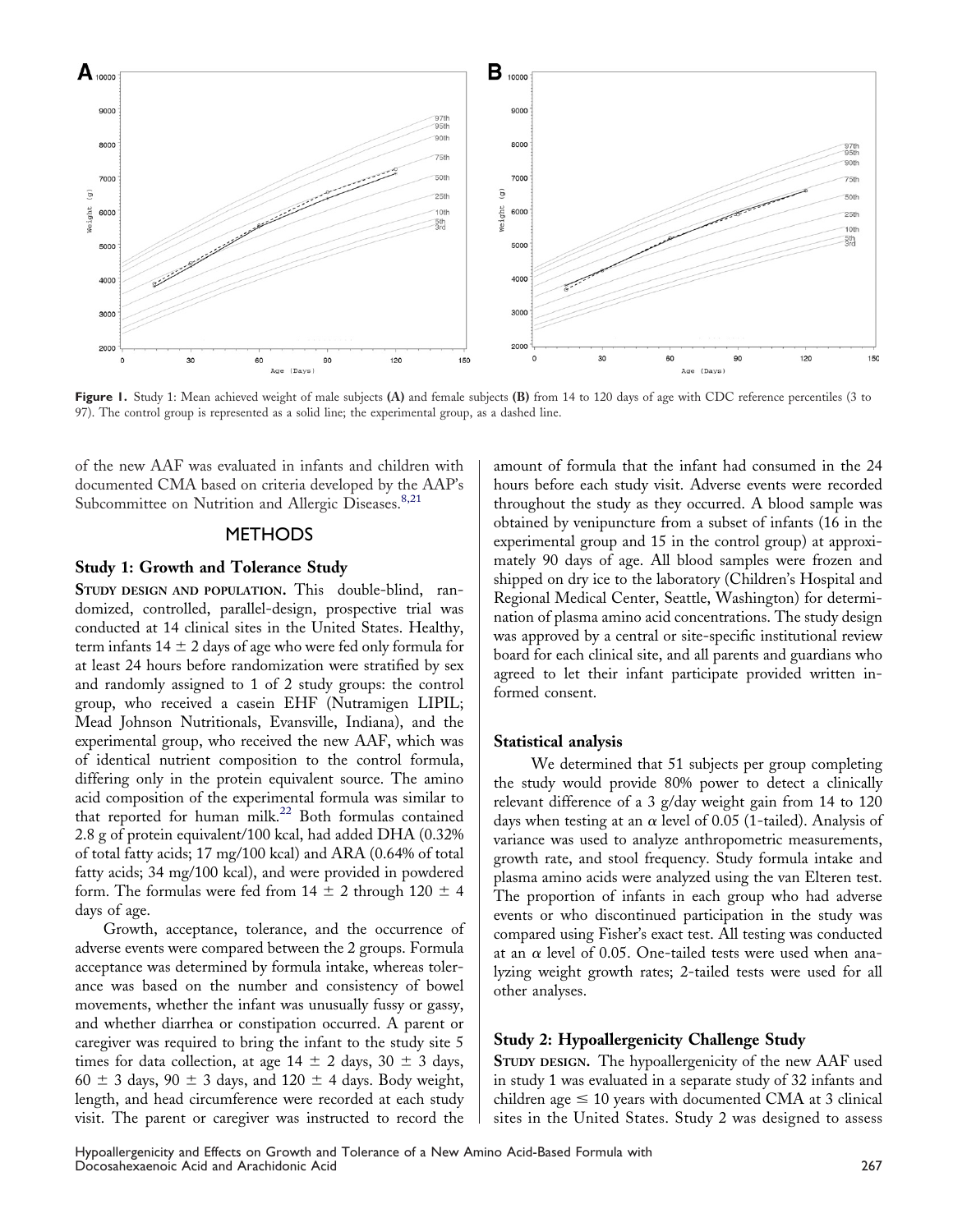

**Figure 1.** Study 1: Mean achieved weight of male subjects **(A)** and female subjects **(B)** from 14 to 120 days of age with CDC reference percentiles (3 to 97). The control group is represented as a solid line; the experimental group, as a dashed line.

of the new AAF was evaluated in infants and children with documented CMA based on criteria developed by the AAP's Subcommittee on Nutrition and Allergic Diseases.<sup>8,21</sup>

## **METHODS**

## **Study 1: Growth and Tolerance Study**

**STUDY DESIGN AND POPULATION.** This double-blind, randomized, controlled, parallel-design, prospective trial was conducted at 14 clinical sites in the United States. Healthy, term infants  $14 \pm 2$  days of age who were fed only formula for at least 24 hours before randomization were stratified by sex and randomly assigned to 1 of 2 study groups: the control group, who received a casein EHF (Nutramigen LIPIL; Mead Johnson Nutritionals, Evansville, Indiana), and the experimental group, who received the new AAF, which was of identical nutrient composition to the control formula, differing only in the protein equivalent source. The amino acid composition of the experimental formula was similar to that reported for human milk.<sup>22</sup> Both formulas contained 2.8 g of protein equivalent/100 kcal, had added DHA (0.32% of total fatty acids; 17 mg/100 kcal) and ARA (0.64% of total fatty acids; 34 mg/100 kcal), and were provided in powdered form. The formulas were fed from  $14 \pm 2$  through  $120 \pm 4$ days of age.

Growth, acceptance, tolerance, and the occurrence of adverse events were compared between the 2 groups. Formula acceptance was determined by formula intake, whereas tolerance was based on the number and consistency of bowel movements, whether the infant was unusually fussy or gassy, and whether diarrhea or constipation occurred. A parent or caregiver was required to bring the infant to the study site 5 times for data collection, at age  $14 \pm 2$  days,  $30 \pm 3$  days,  $60 \pm 3$  days,  $90 \pm 3$  days, and  $120 \pm 4$  days. Body weight, length, and head circumference were recorded at each study visit. The parent or caregiver was instructed to record the

amount of formula that the infant had consumed in the 24 hours before each study visit. Adverse events were recorded throughout the study as they occurred. A blood sample was obtained by venipuncture from a subset of infants (16 in the experimental group and 15 in the control group) at approximately 90 days of age. All blood samples were frozen and shipped on dry ice to the laboratory (Children's Hospital and Regional Medical Center, Seattle, Washington) for determination of plasma amino acid concentrations. The study design was approved by a central or site-specific institutional review board for each clinical site, and all parents and guardians who agreed to let their infant participate provided written informed consent.

## **Statistical analysis**

We determined that 51 subjects per group completing the study would provide 80% power to detect a clinically relevant difference of a 3 g/day weight gain from 14 to 120 days when testing at an  $\alpha$  level of 0.05 (1-tailed). Analysis of variance was used to analyze anthropometric measurements, growth rate, and stool frequency. Study formula intake and plasma amino acids were analyzed using the van Elteren test. The proportion of infants in each group who had adverse events or who discontinued participation in the study was compared using Fisher's exact test. All testing was conducted at an  $\alpha$  level of 0.05. One-tailed tests were used when analyzing weight growth rates; 2-tailed tests were used for all other analyses.

#### **Study 2: Hypoallergenicity Challenge Study**

**STUDY DESIGN.** The hypoallergenicity of the new AAF used in study 1 was evaluated in a separate study of 32 infants and children age  $\leq 10$  years with documented CMA at 3 clinical sites in the United States. Study 2 was designed to assess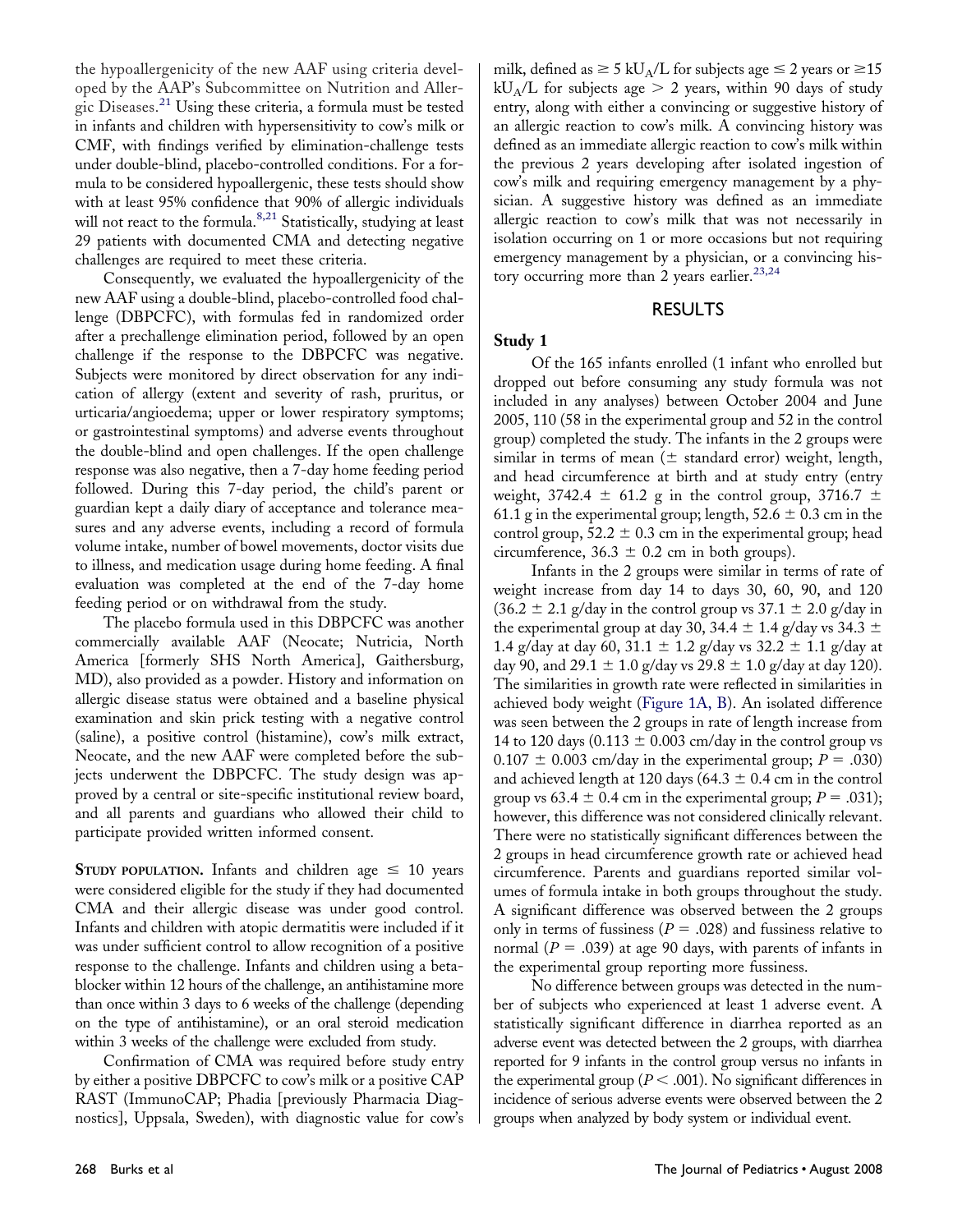the hypoallergenicity of the new AAF using criteria developed by the AAP's Subcommittee on Nutrition and Allergic Diseases.<sup>21</sup> Using these criteria, a formula must be tested in infants and children with hypersensitivity to cow's milk or CMF, with findings verified by elimination-challenge tests under double-blind, placebo-controlled conditions. For a formula to be considered hypoallergenic, these tests should show with at least 95% confidence that 90% of allergic individuals will not react to the formula.<sup>8,21</sup> Statistically, studying at least 29 patients with documented CMA and detecting negative challenges are required to meet these criteria.

Consequently, we evaluated the hypoallergenicity of the new AAF using a double-blind, placebo-controlled food challenge (DBPCFC), with formulas fed in randomized order after a prechallenge elimination period, followed by an open challenge if the response to the DBPCFC was negative. Subjects were monitored by direct observation for any indication of allergy (extent and severity of rash, pruritus, or urticaria/angioedema; upper or lower respiratory symptoms; or gastrointestinal symptoms) and adverse events throughout the double-blind and open challenges. If the open challenge response was also negative, then a 7-day home feeding period followed. During this 7-day period, the child's parent or guardian kept a daily diary of acceptance and tolerance measures and any adverse events, including a record of formula volume intake, number of bowel movements, doctor visits due to illness, and medication usage during home feeding. A final evaluation was completed at the end of the 7-day home feeding period or on withdrawal from the study.

The placebo formula used in this DBPCFC was another commercially available AAF (Neocate; Nutricia, North America [formerly SHS North America], Gaithersburg, MD), also provided as a powder. History and information on allergic disease status were obtained and a baseline physical examination and skin prick testing with a negative control (saline), a positive control (histamine), cow's milk extract, Neocate, and the new AAF were completed before the subjects underwent the DBPCFC. The study design was approved by a central or site-specific institutional review board, and all parents and guardians who allowed their child to participate provided written informed consent.

**STUDY POPULATION.** Infants and children age  $\leq 10$  years were considered eligible for the study if they had documented CMA and their allergic disease was under good control. Infants and children with atopic dermatitis were included if it was under sufficient control to allow recognition of a positive response to the challenge. Infants and children using a betablocker within 12 hours of the challenge, an antihistamine more than once within 3 days to 6 weeks of the challenge (depending on the type of antihistamine), or an oral steroid medication within 3 weeks of the challenge were excluded from study.

Confirmation of CMA was required before study entry by either a positive DBPCFC to cow's milk or a positive CAP RAST (ImmunoCAP; Phadia [previously Pharmacia Diagnostics], Uppsala, Sweden), with diagnostic value for cow's

milk, defined as  $\geq 5$  kU<sub>A</sub>/L for subjects age  $\leq 2$  years or  $\geq 15$ kU<sub>A</sub>/L for subjects age  $> 2$  years, within 90 days of study entry, along with either a convincing or suggestive history of an allergic reaction to cow's milk. A convincing history was defined as an immediate allergic reaction to cow's milk within the previous 2 years developing after isolated ingestion of cow's milk and requiring emergency management by a physician. A suggestive history was defined as an immediate allergic reaction to cow's milk that was not necessarily in isolation occurring on 1 or more occasions but not requiring emergency management by a physician, or a convincing history occurring more than 2 years earlier.<sup>23,24</sup>

# RESULTS

# **Study 1**

Of the 165 infants enrolled (1 infant who enrolled but dropped out before consuming any study formula was not included in any analyses) between October 2004 and June 2005, 110 (58 in the experimental group and 52 in the control group) completed the study. The infants in the 2 groups were similar in terms of mean  $(\pm$  standard error) weight, length, and head circumference at birth and at study entry (entry weight, 3742.4  $\pm$  61.2 g in the control group, 3716.7  $\pm$ 61.1 g in the experimental group; length,  $52.6 \pm 0.3$  cm in the control group,  $52.2 \pm 0.3$  cm in the experimental group; head circumference,  $36.3 \pm 0.2$  cm in both groups).

Infants in the 2 groups were similar in terms of rate of weight increase from day 14 to days 30, 60, 90, and 120  $(36.2 \pm 2.1 \text{ g/day}$  in the control group vs  $37.1 \pm 2.0 \text{ g/day}$  in the experimental group at day 30, 34.4  $\pm$  1.4 g/day vs 34.3  $\pm$ 1.4 g/day at day 60,  $31.1 \pm 1.2$  g/day vs  $32.2 \pm 1.1$  g/day at day 90, and 29.1  $\pm$  1.0 g/day vs 29.8  $\pm$  1.0 g/day at day 120). The similarities in growth rate were reflected in similarities in achieved body weight (Figure 1A, B). An isolated difference was seen between the 2 groups in rate of length increase from 14 to 120 days (0.113  $\pm$  0.003 cm/day in the control group vs  $0.107 \pm 0.003$  cm/day in the experimental group;  $P = .030$ ) and achieved length at 120 days (64.3  $\pm$  0.4 cm in the control group vs  $63.4 \pm 0.4$  cm in the experimental group;  $P = .031$ ); however, this difference was not considered clinically relevant. There were no statistically significant differences between the 2 groups in head circumference growth rate or achieved head circumference. Parents and guardians reported similar volumes of formula intake in both groups throughout the study. A significant difference was observed between the 2 groups only in terms of fussiness  $(P = .028)$  and fussiness relative to normal  $(P = .039)$  at age 90 days, with parents of infants in the experimental group reporting more fussiness.

No difference between groups was detected in the number of subjects who experienced at least 1 adverse event. A statistically significant difference in diarrhea reported as an adverse event was detected between the 2 groups, with diarrhea reported for 9 infants in the control group versus no infants in the experimental group ( $P < .001$ ). No significant differences in incidence of serious adverse events were observed between the 2 groups when analyzed by body system or individual event.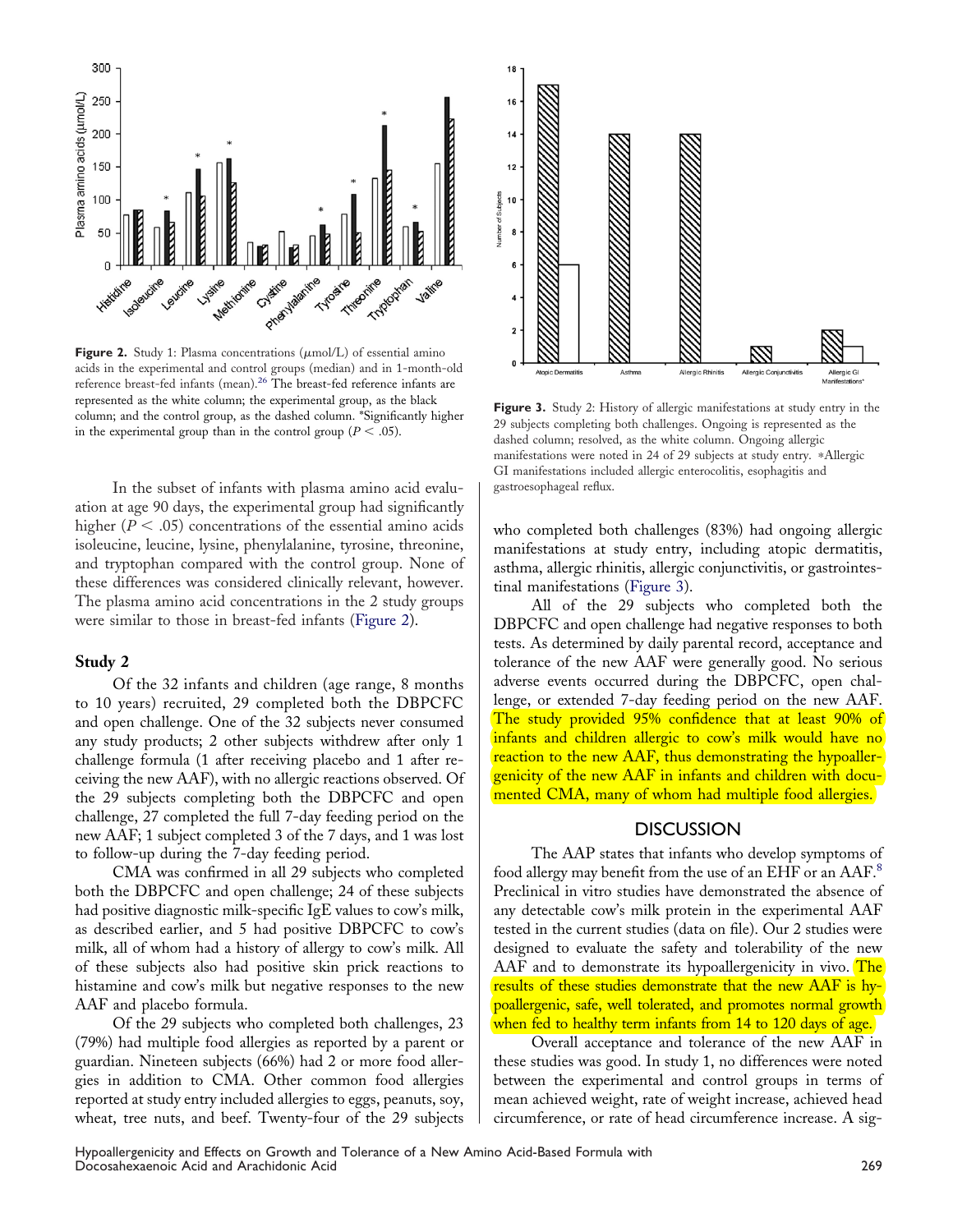

**Figure 2.** Study 1: Plasma concentrations  $(\mu \text{mol/L})$  of essential amino acids in the experimental and control groups (median) and in 1-month-old reference breast-fed infants (mean).26 The breast-fed reference infants are represented as the white column; the experimental group, as the black column; and the control group, as the dashed column. \*Significantly higher in the experimental group than in the control group ( $P < .05$ ).

In the subset of infants with plasma amino acid evaluation at age 90 days, the experimental group had significantly higher ( $P < .05$ ) concentrations of the essential amino acids isoleucine, leucine, lysine, phenylalanine, tyrosine, threonine, and tryptophan compared with the control group. None of these differences was considered clinically relevant, however. The plasma amino acid concentrations in the 2 study groups were similar to those in breast-fed infants (Figure 2).

### **Study 2**

Of the 32 infants and children (age range, 8 months to 10 years) recruited, 29 completed both the DBPCFC and open challenge. One of the 32 subjects never consumed any study products; 2 other subjects withdrew after only 1 challenge formula (1 after receiving placebo and 1 after receiving the new AAF), with no allergic reactions observed. Of the 29 subjects completing both the DBPCFC and open challenge, 27 completed the full 7-day feeding period on the new AAF; 1 subject completed 3 of the 7 days, and 1 was lost to follow-up during the 7-day feeding period.

CMA was confirmed in all 29 subjects who completed both the DBPCFC and open challenge; 24 of these subjects had positive diagnostic milk-specific IgE values to cow's milk, as described earlier, and 5 had positive DBPCFC to cow's milk, all of whom had a history of allergy to cow's milk. All of these subjects also had positive skin prick reactions to histamine and cow's milk but negative responses to the new AAF and placebo formula.

Of the 29 subjects who completed both challenges, 23 (79%) had multiple food allergies as reported by a parent or guardian. Nineteen subjects (66%) had 2 or more food allergies in addition to CMA. Other common food allergies reported at study entry included allergies to eggs, peanuts, soy, wheat, tree nuts, and beef. Twenty-four of the 29 subjects



**Figure 3.** Study 2: History of allergic manifestations at study entry in the 29 subjects completing both challenges. Ongoing is represented as the dashed column; resolved, as the white column. Ongoing allergic manifestations were noted in 24 of 29 subjects at study entry. \*Allergic GI manifestations included allergic enterocolitis, esophagitis and gastroesophageal reflux.

who completed both challenges (83%) had ongoing allergic manifestations at study entry, including atopic dermatitis, asthma, allergic rhinitis, allergic conjunctivitis, or gastrointestinal manifestations (Figure 3).

All of the 29 subjects who completed both the DBPCFC and open challenge had negative responses to both tests. As determined by daily parental record, acceptance and tolerance of the new AAF were generally good. No serious adverse events occurred during the DBPCFC, open challenge, or extended 7-day feeding period on the new AAF. The study provided 95% confidence that at least 90% of infants and children allergic to cow's milk would have no reaction to the new AAF, thus demonstrating the hypoallergenicity of the new AAF in infants and children with documented CMA, many of whom had multiple food allergies.

## **DISCUSSION**

The AAP states that infants who develop symptoms of food allergy may benefit from the use of an EHF or an AAF.<sup>8</sup> Preclinical in vitro studies have demonstrated the absence of any detectable cow's milk protein in the experimental AAF tested in the current studies (data on file). Our 2 studies were designed to evaluate the safety and tolerability of the new AAF and to demonstrate its hypoallergenicity in vivo. The results of these studies demonstrate that the new AAF is hypoallergenic, safe, well tolerated, and promotes normal growth when fed to healthy term infants from 14 to 120 days of age.

Overall acceptance and tolerance of the new AAF in these studies was good. In study 1, no differences were noted between the experimental and control groups in terms of mean achieved weight, rate of weight increase, achieved head circumference, or rate of head circumference increase. A sig-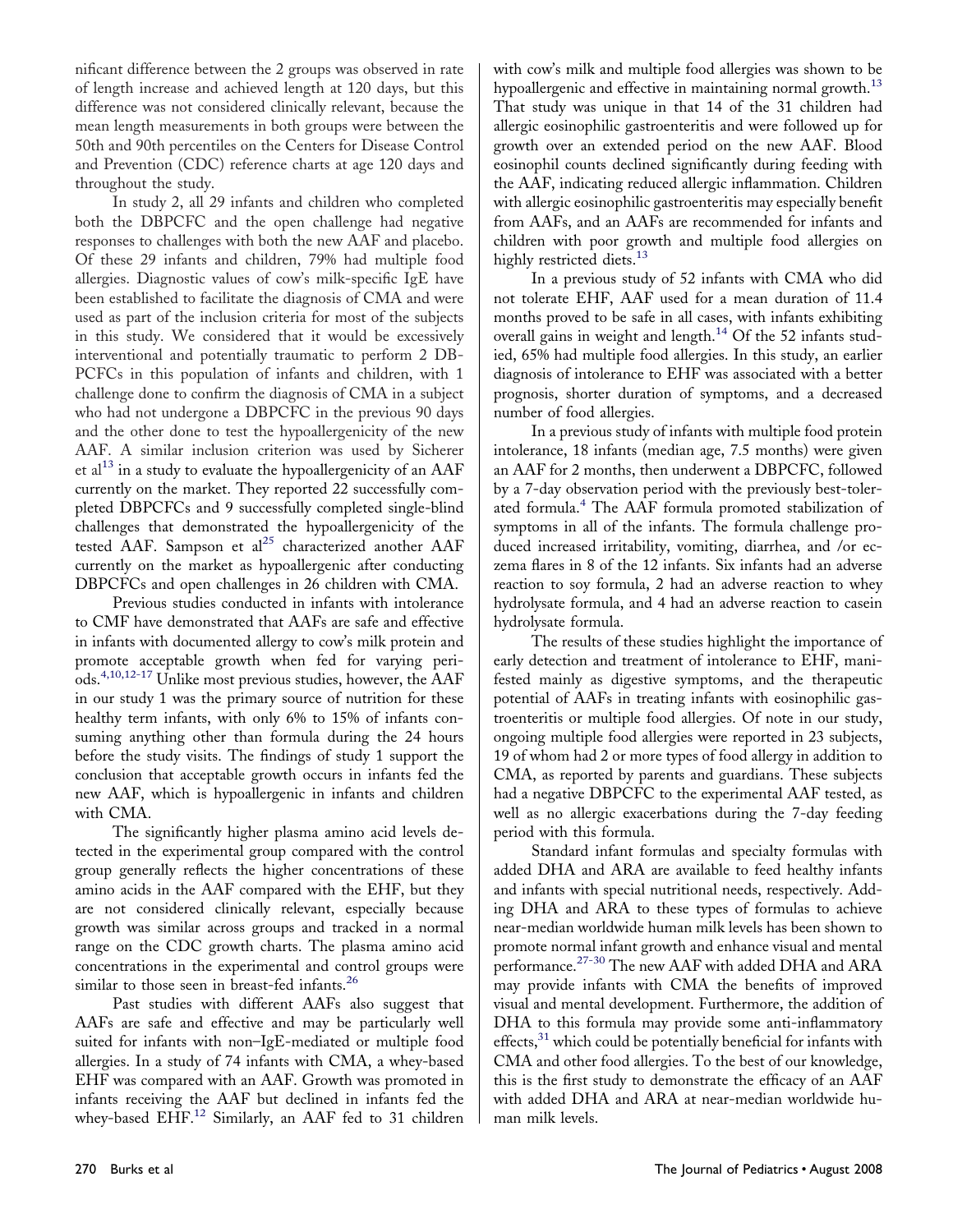nificant difference between the 2 groups was observed in rate of length increase and achieved length at 120 days, but this difference was not considered clinically relevant, because the mean length measurements in both groups were between the 50th and 90th percentiles on the Centers for Disease Control and Prevention (CDC) reference charts at age 120 days and throughout the study.

In study 2, all 29 infants and children who completed both the DBPCFC and the open challenge had negative responses to challenges with both the new AAF and placebo. Of these 29 infants and children, 79% had multiple food allergies. Diagnostic values of cow's milk-specific IgE have been established to facilitate the diagnosis of CMA and were used as part of the inclusion criteria for most of the subjects in this study. We considered that it would be excessively interventional and potentially traumatic to perform 2 DB-PCFCs in this population of infants and children, with 1 challenge done to confirm the diagnosis of CMA in a subject who had not undergone a DBPCFC in the previous 90 days and the other done to test the hypoallergenicity of the new AAF. A similar inclusion criterion was used by Sicherer et al<sup>13</sup> in a study to evaluate the hypoallergenicity of an AAF currently on the market. They reported 22 successfully completed DBPCFCs and 9 successfully completed single-blind challenges that demonstrated the hypoallergenicity of the tested AAF. Sampson et al<sup>25</sup> characterized another AAF currently on the market as hypoallergenic after conducting DBPCFCs and open challenges in 26 children with CMA.

Previous studies conducted in infants with intolerance to CMF have demonstrated that AAFs are safe and effective in infants with documented allergy to cow's milk protein and promote acceptable growth when fed for varying periods.4,10,12-17 Unlike most previous studies, however, the AAF in our study 1 was the primary source of nutrition for these healthy term infants, with only 6% to 15% of infants consuming anything other than formula during the 24 hours before the study visits. The findings of study 1 support the conclusion that acceptable growth occurs in infants fed the new AAF, which is hypoallergenic in infants and children with CMA.

The significantly higher plasma amino acid levels detected in the experimental group compared with the control group generally reflects the higher concentrations of these amino acids in the AAF compared with the EHF, but they are not considered clinically relevant, especially because growth was similar across groups and tracked in a normal range on the CDC growth charts. The plasma amino acid concentrations in the experimental and control groups were similar to those seen in breast-fed infants.<sup>26</sup>

Past studies with different AAFs also suggest that AAFs are safe and effective and may be particularly well suited for infants with non–IgE-mediated or multiple food allergies. In a study of 74 infants with CMA, a whey-based EHF was compared with an AAF. Growth was promoted in infants receiving the AAF but declined in infants fed the whey-based EHF.<sup>12</sup> Similarly, an AAF fed to 31 children

with cow's milk and multiple food allergies was shown to be hypoallergenic and effective in maintaining normal growth.<sup>13</sup> That study was unique in that 14 of the 31 children had allergic eosinophilic gastroenteritis and were followed up for growth over an extended period on the new AAF. Blood eosinophil counts declined significantly during feeding with the AAF, indicating reduced allergic inflammation. Children with allergic eosinophilic gastroenteritis may especially benefit from AAFs, and an AAFs are recommended for infants and children with poor growth and multiple food allergies on highly restricted diets.<sup>13</sup>

In a previous study of 52 infants with CMA who did not tolerate EHF, AAF used for a mean duration of 11.4 months proved to be safe in all cases, with infants exhibiting overall gains in weight and length.<sup>14</sup> Of the 52 infants studied, 65% had multiple food allergies. In this study, an earlier diagnosis of intolerance to EHF was associated with a better prognosis, shorter duration of symptoms, and a decreased number of food allergies.

In a previous study of infants with multiple food protein intolerance, 18 infants (median age, 7.5 months) were given an AAF for 2 months, then underwent a DBPCFC, followed by a 7-day observation period with the previously best-tolerated formula.<sup>4</sup> The AAF formula promoted stabilization of symptoms in all of the infants. The formula challenge produced increased irritability, vomiting, diarrhea, and /or eczema flares in 8 of the 12 infants. Six infants had an adverse reaction to soy formula, 2 had an adverse reaction to whey hydrolysate formula, and 4 had an adverse reaction to casein hydrolysate formula.

The results of these studies highlight the importance of early detection and treatment of intolerance to EHF, manifested mainly as digestive symptoms, and the therapeutic potential of AAFs in treating infants with eosinophilic gastroenteritis or multiple food allergies. Of note in our study, ongoing multiple food allergies were reported in 23 subjects, 19 of whom had 2 or more types of food allergy in addition to CMA, as reported by parents and guardians. These subjects had a negative DBPCFC to the experimental AAF tested, as well as no allergic exacerbations during the 7-day feeding period with this formula.

Standard infant formulas and specialty formulas with added DHA and ARA are available to feed healthy infants and infants with special nutritional needs, respectively. Adding DHA and ARA to these types of formulas to achieve near-median worldwide human milk levels has been shown to promote normal infant growth and enhance visual and mental performance.<sup>27-30</sup> The new AAF with added DHA and ARA may provide infants with CMA the benefits of improved visual and mental development. Furthermore, the addition of DHA to this formula may provide some anti-inflammatory effects, $31$  which could be potentially beneficial for infants with CMA and other food allergies. To the best of our knowledge, this is the first study to demonstrate the efficacy of an AAF with added DHA and ARA at near-median worldwide human milk levels.